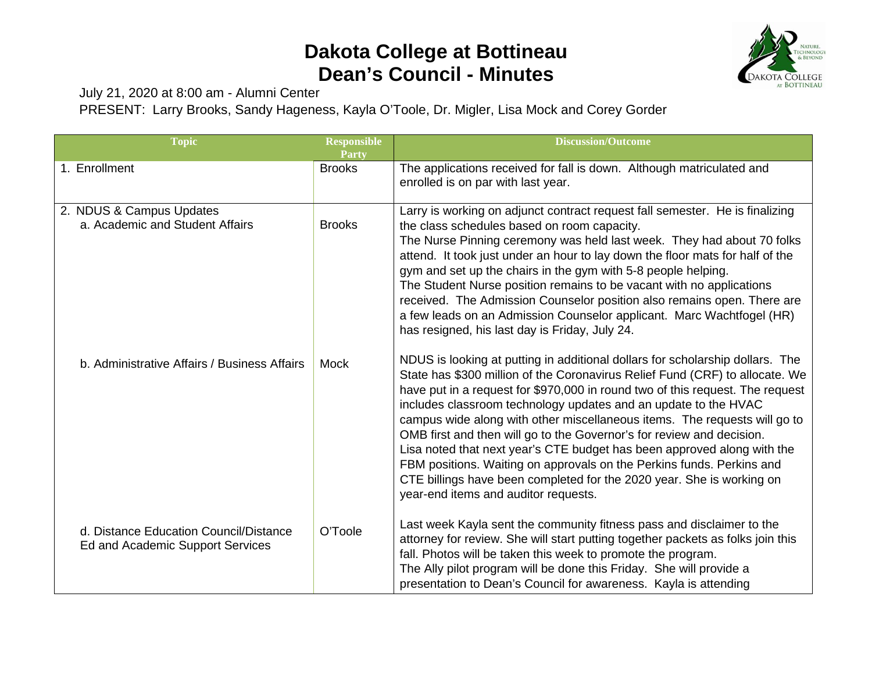## **Dakota College at Bottineau Dean's Council - Minutes**



July 21, 2020 at 8:00 am - Alumni Center

PRESENT: Larry Brooks, Sandy Hageness, Kayla O'Toole, Dr. Migler, Lisa Mock and Corey Gorder

| <b>Topic</b>                                                               | <b>Responsible</b><br><b>Party</b> | <b>Discussion/Outcome</b>                                                                                                                                                                                                                                                                                                                                                                                                                                                                                                                                                                                                                                                                                                                    |
|----------------------------------------------------------------------------|------------------------------------|----------------------------------------------------------------------------------------------------------------------------------------------------------------------------------------------------------------------------------------------------------------------------------------------------------------------------------------------------------------------------------------------------------------------------------------------------------------------------------------------------------------------------------------------------------------------------------------------------------------------------------------------------------------------------------------------------------------------------------------------|
| 1. Enrollment                                                              | <b>Brooks</b>                      | The applications received for fall is down. Although matriculated and<br>enrolled is on par with last year.                                                                                                                                                                                                                                                                                                                                                                                                                                                                                                                                                                                                                                  |
| 2. NDUS & Campus Updates<br>a. Academic and Student Affairs                | <b>Brooks</b>                      | Larry is working on adjunct contract request fall semester. He is finalizing<br>the class schedules based on room capacity.<br>The Nurse Pinning ceremony was held last week. They had about 70 folks<br>attend. It took just under an hour to lay down the floor mats for half of the<br>gym and set up the chairs in the gym with 5-8 people helping.<br>The Student Nurse position remains to be vacant with no applications<br>received. The Admission Counselor position also remains open. There are<br>a few leads on an Admission Counselor applicant. Marc Wachtfogel (HR)<br>has resigned, his last day is Friday, July 24.                                                                                                        |
| b. Administrative Affairs / Business Affairs                               | Mock                               | NDUS is looking at putting in additional dollars for scholarship dollars. The<br>State has \$300 million of the Coronavirus Relief Fund (CRF) to allocate. We<br>have put in a request for \$970,000 in round two of this request. The request<br>includes classroom technology updates and an update to the HVAC<br>campus wide along with other miscellaneous items. The requests will go to<br>OMB first and then will go to the Governor's for review and decision.<br>Lisa noted that next year's CTE budget has been approved along with the<br>FBM positions. Waiting on approvals on the Perkins funds. Perkins and<br>CTE billings have been completed for the 2020 year. She is working on<br>year-end items and auditor requests. |
| d. Distance Education Council/Distance<br>Ed and Academic Support Services | O'Toole                            | Last week Kayla sent the community fitness pass and disclaimer to the<br>attorney for review. She will start putting together packets as folks join this<br>fall. Photos will be taken this week to promote the program.<br>The Ally pilot program will be done this Friday. She will provide a<br>presentation to Dean's Council for awareness. Kayla is attending                                                                                                                                                                                                                                                                                                                                                                          |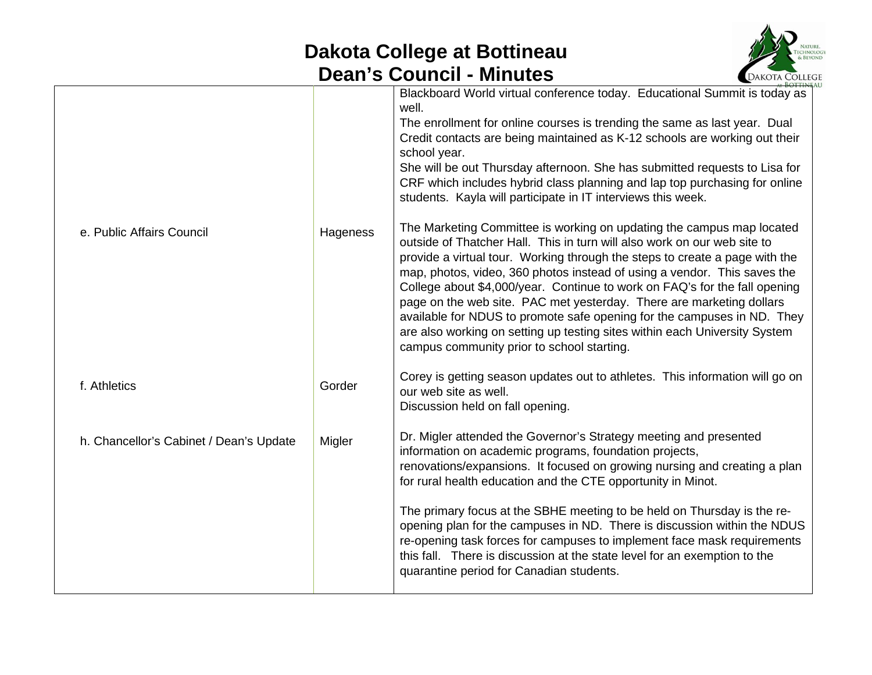## **Dakota College at Bottineau Dean's Council - Minutes**



|                                         |          | GAN O OGHUNI<br>- IVIII IULUJ<br><b>UANOIA COLLEY</b>                                                                                                                                                                                                                                                                                                                                                                                                                                                                                                                                                                                                                                                                                                                                                                                                                                                                                                                                                                                                                                                                    |
|-----------------------------------------|----------|--------------------------------------------------------------------------------------------------------------------------------------------------------------------------------------------------------------------------------------------------------------------------------------------------------------------------------------------------------------------------------------------------------------------------------------------------------------------------------------------------------------------------------------------------------------------------------------------------------------------------------------------------------------------------------------------------------------------------------------------------------------------------------------------------------------------------------------------------------------------------------------------------------------------------------------------------------------------------------------------------------------------------------------------------------------------------------------------------------------------------|
| e. Public Affairs Council               | Hageness | Blackboard World virtual conference today. Educational Summit is today as<br>well.<br>The enrollment for online courses is trending the same as last year. Dual<br>Credit contacts are being maintained as K-12 schools are working out their<br>school year.<br>She will be out Thursday afternoon. She has submitted requests to Lisa for<br>CRF which includes hybrid class planning and lap top purchasing for online<br>students. Kayla will participate in IT interviews this week.<br>The Marketing Committee is working on updating the campus map located<br>outside of Thatcher Hall. This in turn will also work on our web site to<br>provide a virtual tour. Working through the steps to create a page with the<br>map, photos, video, 360 photos instead of using a vendor. This saves the<br>College about \$4,000/year. Continue to work on FAQ's for the fall opening<br>page on the web site. PAC met yesterday. There are marketing dollars<br>available for NDUS to promote safe opening for the campuses in ND. They<br>are also working on setting up testing sites within each University System |
| f. Athletics                            | Gorder   | campus community prior to school starting.<br>Corey is getting season updates out to athletes. This information will go on<br>our web site as well.<br>Discussion held on fall opening.                                                                                                                                                                                                                                                                                                                                                                                                                                                                                                                                                                                                                                                                                                                                                                                                                                                                                                                                  |
| h. Chancellor's Cabinet / Dean's Update | Migler   | Dr. Migler attended the Governor's Strategy meeting and presented<br>information on academic programs, foundation projects,<br>renovations/expansions. It focused on growing nursing and creating a plan<br>for rural health education and the CTE opportunity in Minot.                                                                                                                                                                                                                                                                                                                                                                                                                                                                                                                                                                                                                                                                                                                                                                                                                                                 |
|                                         |          | The primary focus at the SBHE meeting to be held on Thursday is the re-<br>opening plan for the campuses in ND. There is discussion within the NDUS<br>re-opening task forces for campuses to implement face mask requirements<br>this fall. There is discussion at the state level for an exemption to the<br>quarantine period for Canadian students.                                                                                                                                                                                                                                                                                                                                                                                                                                                                                                                                                                                                                                                                                                                                                                  |